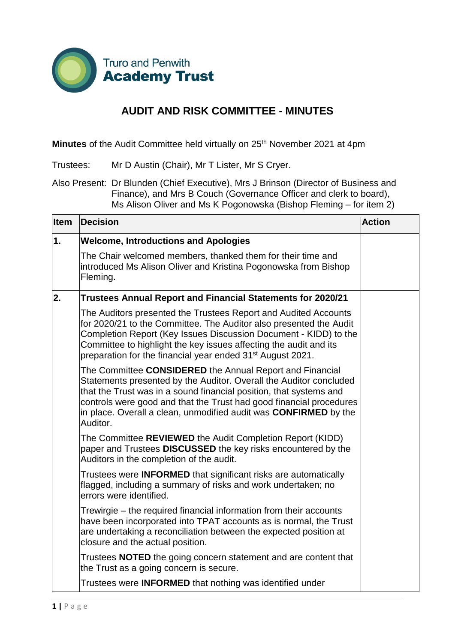

## **AUDIT AND RISK COMMITTEE - MINUTES**

**Minutes** of the Audit Committee held virtually on 25<sup>th</sup> November 2021 at 4pm

Trustees: Mr D Austin (Chair), Mr T Lister, Mr S Cryer.

Also Present: Dr Blunden (Chief Executive), Mrs J Brinson (Director of Business and Finance), and Mrs B Couch (Governance Officer and clerk to board), Ms Alison Oliver and Ms K Pogonowska (Bishop Fleming – for item 2)

| Item | <b>Decision</b>                                                                                                                                                                                                                                                                                                                                                    | <b>Action</b> |
|------|--------------------------------------------------------------------------------------------------------------------------------------------------------------------------------------------------------------------------------------------------------------------------------------------------------------------------------------------------------------------|---------------|
| 1.   | <b>Welcome, Introductions and Apologies</b>                                                                                                                                                                                                                                                                                                                        |               |
|      | The Chair welcomed members, thanked them for their time and<br>introduced Ms Alison Oliver and Kristina Pogonowska from Bishop<br>Fleming.                                                                                                                                                                                                                         |               |
| 2.   | <b>Trustees Annual Report and Financial Statements for 2020/21</b>                                                                                                                                                                                                                                                                                                 |               |
|      | The Auditors presented the Trustees Report and Audited Accounts<br>for 2020/21 to the Committee. The Auditor also presented the Audit<br>Completion Report (Key Issues Discussion Document - KIDD) to the<br>Committee to highlight the key issues affecting the audit and its<br>preparation for the financial year ended 31 <sup>st</sup> August 2021.           |               |
|      | The Committee CONSIDERED the Annual Report and Financial<br>Statements presented by the Auditor. Overall the Auditor concluded<br>that the Trust was in a sound financial position, that systems and<br>controls were good and that the Trust had good financial procedures<br>in place. Overall a clean, unmodified audit was <b>CONFIRMED</b> by the<br>Auditor. |               |
|      | The Committee REVIEWED the Audit Completion Report (KIDD)<br>paper and Trustees DISCUSSED the key risks encountered by the<br>Auditors in the completion of the audit.                                                                                                                                                                                             |               |
|      | Trustees were <b>INFORMED</b> that significant risks are automatically<br>flagged, including a summary of risks and work undertaken; no<br>errors were identified.                                                                                                                                                                                                 |               |
|      | Trewirgie – the required financial information from their accounts<br>have been incorporated into TPAT accounts as is normal, the Trust<br>are undertaking a reconciliation between the expected position at<br>closure and the actual position.                                                                                                                   |               |
|      | Trustees <b>NOTED</b> the going concern statement and are content that<br>the Trust as a going concern is secure.                                                                                                                                                                                                                                                  |               |
|      | Trustees were <b>INFORMED</b> that nothing was identified under                                                                                                                                                                                                                                                                                                    |               |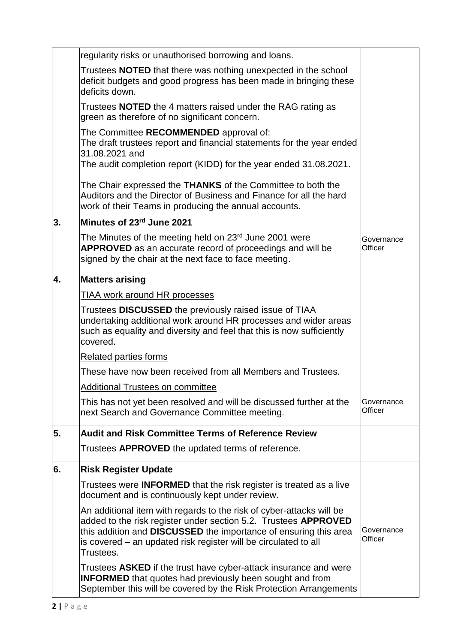|    | regularity risks or unauthorised borrowing and loans.                                                                                                                                                                                                                                              |                       |
|----|----------------------------------------------------------------------------------------------------------------------------------------------------------------------------------------------------------------------------------------------------------------------------------------------------|-----------------------|
|    | Trustees <b>NOTED</b> that there was nothing unexpected in the school<br>deficit budgets and good progress has been made in bringing these<br>deficits down.                                                                                                                                       |                       |
|    | Trustees <b>NOTED</b> the 4 matters raised under the RAG rating as<br>green as therefore of no significant concern.                                                                                                                                                                                |                       |
|    | The Committee RECOMMENDED approval of:<br>The draft trustees report and financial statements for the year ended<br>31.08.2021 and<br>The audit completion report (KIDD) for the year ended 31.08.2021.                                                                                             |                       |
|    | The Chair expressed the THANKS of the Committee to both the<br>Auditors and the Director of Business and Finance for all the hard<br>work of their Teams in producing the annual accounts.                                                                                                         |                       |
| 3. | Minutes of 23rd June 2021                                                                                                                                                                                                                                                                          |                       |
|    | The Minutes of the meeting held on 23 <sup>rd</sup> June 2001 were<br><b>APPROVED</b> as an accurate record of proceedings and will be<br>signed by the chair at the next face to face meeting.                                                                                                    | Governance<br>Officer |
| 4. | <b>Matters arising</b>                                                                                                                                                                                                                                                                             |                       |
|    | <b>TIAA work around HR processes</b>                                                                                                                                                                                                                                                               |                       |
|    | Trustees DISCUSSED the previously raised issue of TIAA<br>undertaking additional work around HR processes and wider areas<br>such as equality and diversity and feel that this is now sufficiently<br>covered.                                                                                     |                       |
|    | <b>Related parties forms</b>                                                                                                                                                                                                                                                                       |                       |
|    | These have now been received from all Members and Trustees.                                                                                                                                                                                                                                        |                       |
|    | <b>Additional Trustees on committee</b>                                                                                                                                                                                                                                                            |                       |
|    | This has not yet been resolved and will be discussed further at the<br>next Search and Governance Committee meeting.                                                                                                                                                                               | Governance<br>Officer |
| 5. | <b>Audit and Risk Committee Terms of Reference Review</b>                                                                                                                                                                                                                                          |                       |
|    | Trustees APPROVED the updated terms of reference.                                                                                                                                                                                                                                                  |                       |
| 6. | <b>Risk Register Update</b>                                                                                                                                                                                                                                                                        |                       |
|    | Trustees were <b>INFORMED</b> that the risk register is treated as a live<br>document and is continuously kept under review.                                                                                                                                                                       |                       |
|    | An additional item with regards to the risk of cyber-attacks will be<br>added to the risk register under section 5.2. Trustees APPROVED<br>this addition and <b>DISCUSSED</b> the importance of ensuring this area<br>is covered - an updated risk register will be circulated to all<br>Trustees. | Governance<br>Officer |
|    | Trustees ASKED if the trust have cyber-attack insurance and were<br><b>INFORMED</b> that quotes had previously been sought and from<br>September this will be covered by the Risk Protection Arrangements                                                                                          |                       |